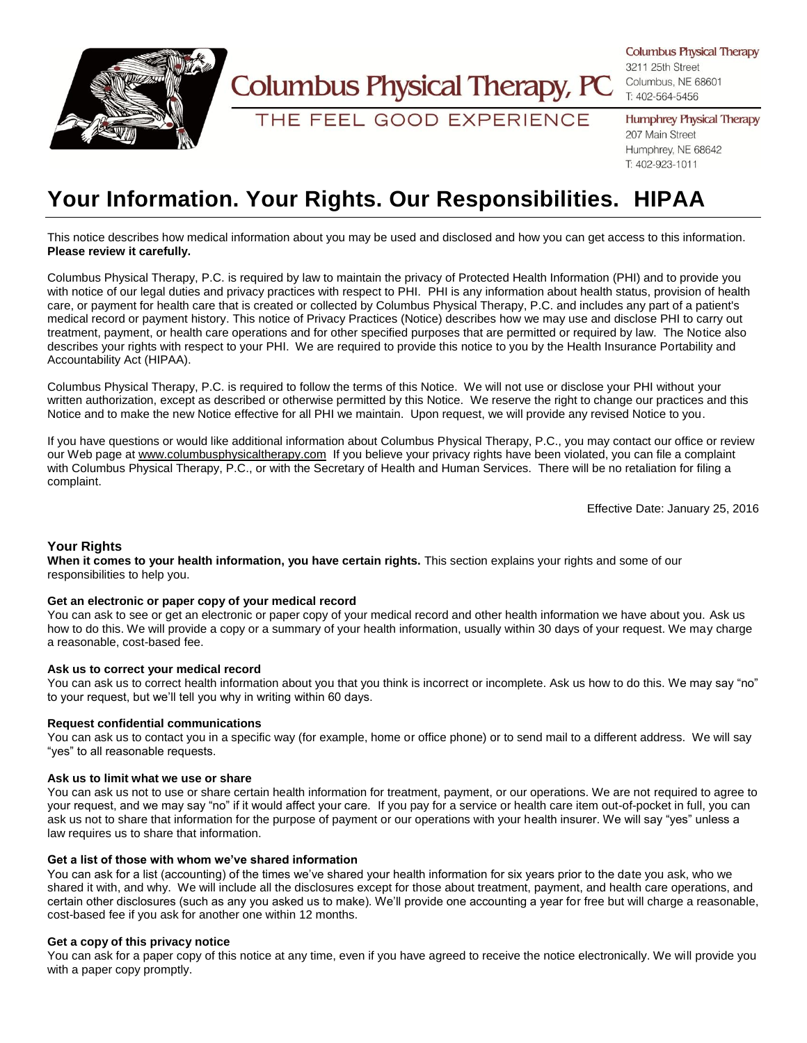

# **Columbus Physical Therapy, PC**

THE FEEL GOOD EXPERIENCE

**Columbus Physical Therapy** 

3211 25th Street Columbus, NE 68601 T: 402-564-5456

**Humphrey Physical Therapy** 207 Main Street Humphrey, NE 68642 T: 402-923-1011

# **Your Information. Your Rights. Our Responsibilities. HIPAA**

This notice describes how medical information about you may be used and disclosed and how you can get access to this information. **Please review it carefully.**

Columbus Physical Therapy, P.C. is required by law to maintain the privacy of Protected Health Information (PHI) and to provide you with notice of our legal duties and privacy practices with respect to PHI. PHI is any information about health status, provision of health care, or payment for health care that is created or collected by Columbus Physical Therapy, P.C. and includes any part of a patient's medical record or payment history. This notice of Privacy Practices (Notice) describes how we may use and disclose PHI to carry out treatment, payment, or health care operations and for other specified purposes that are permitted or required by law. The Notice also describes your rights with respect to your PHI. We are required to provide this notice to you by the Health Insurance Portability and Accountability Act (HIPAA).

Columbus Physical Therapy, P.C. is required to follow the terms of this Notice. We will not use or disclose your PHI without your written authorization, except as described or otherwise permitted by this Notice. We reserve the right to change our practices and this Notice and to make the new Notice effective for all PHI we maintain. Upon request, we will provide any revised Notice to you.

If you have questions or would like additional information about Columbus Physical Therapy, P.C., you may contact our office or review our Web page at [www.columbusphysicaltherapy.com](http://www.columbusphysicaltherapy.com/) If you believe your privacy rights have been violated, you can file a complaint with Columbus Physical Therapy, P.C., or with the Secretary of Health and Human Services. There will be no retaliation for filing a complaint.

Effective Date: January 25, 2016

# **Your Rights**

**When it comes to your health information, you have certain rights.** This section explains your rights and some of our responsibilities to help you.

## **Get an electronic or paper copy of your medical record**

You can ask to see or get an electronic or paper copy of your medical record and other health information we have about you. Ask us how to do this. We will provide a copy or a summary of your health information, usually within 30 days of your request. We may charge a reasonable, cost-based fee.

## **Ask us to correct your medical record**

You can ask us to correct health information about you that you think is incorrect or incomplete. Ask us how to do this. We may say "no" to your request, but we'll tell you why in writing within 60 days.

## **Request confidential communications**

You can ask us to contact you in a specific way (for example, home or office phone) or to send mail to a different address. We will say "yes" to all reasonable requests.

## **Ask us to limit what we use or share**

You can ask us not to use or share certain health information for treatment, payment, or our operations. We are not required to agree to your request, and we may say "no" if it would affect your care. If you pay for a service or health care item out-of-pocket in full, you can ask us not to share that information for the purpose of payment or our operations with your health insurer. We will say "yes" unless a law requires us to share that information.

# **Get a list of those with whom we've shared information**

You can ask for a list (accounting) of the times we've shared your health information for six years prior to the date you ask, who we shared it with, and why. We will include all the disclosures except for those about treatment, payment, and health care operations, and certain other disclosures (such as any you asked us to make). We'll provide one accounting a year for free but will charge a reasonable, cost-based fee if you ask for another one within 12 months.

# **Get a copy of this privacy notice**

You can ask for a paper copy of this notice at any time, even if you have agreed to receive the notice electronically. We will provide you with a paper copy promptly.